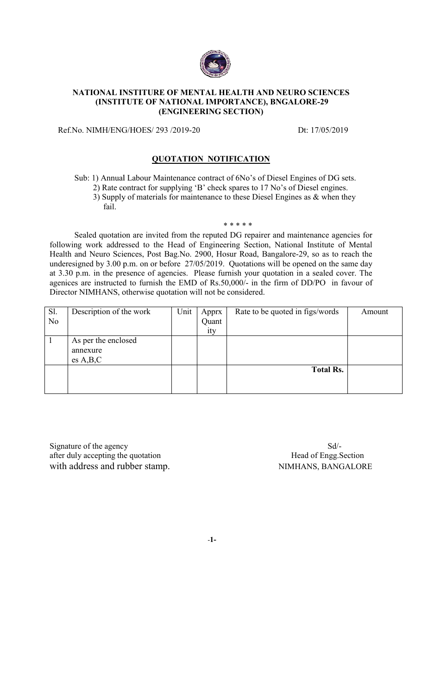

#### **NATIONAL INSTITURE OF MENTAL HEALTH AND NEURO SCIENCES (INSTITUTE OF NATIONAL IMPORTANCE), BNGALORE** E OF MENTAL HEALTH A]<br>NATIONAL IMPORTANCE<br>(ENGINEERING SECTION) **BNGALORE-29**

Ref.No. NIMH/ENG/HOES/ 293 /2019-20

Dt: 17/05/2019

### **QUOTATION NOTIFICATION**

Sub: 1) Annual Labour Labour Maintenance contract of 6No's of Diesel Engines of DG sets. Sub: 1) Annual Labour Maintenance contract of 6No's of Diesel Engines of DG se<br>2) Rate contract for supplying 'B' check spares to 17 No's of Diesel engines. 3) Supply of materials for maintenance to these Diesel Engines as & when they<br>fail.<br> $***$ \*\*\*\* fail.

Sealed quotation are invited from the reputed DG repairer and maintenance agencies for following work addressed to the Head of Engineering Section, National Institute of Mental Health and Neuro Sciences, Post Bag.No. 2900, Hosur Road, Bangalore underesigned by 3.00 p.m. on or before 27/05/2019. Quotations will be opened on the same day underesigned by 3.00 p.m. on or before 27/05/2019. Quotations will be opened on the same day at 3.30 p.m. in the presence of agencies. Please furnish your quotation in a sealed cover. The at 3.30 p.m. in the presence of agencies. Please furnish your quotation in a sealed cover. The agenices are instructed to furnish the EMD of Rs.50,000/- in the firm of DD/PO in favour of Director NIMHANS, otherwise quotation will not be considered. of Engineering Section, National Institute of Mental<br>
6. 2900, Hosur Road, Bangalore-29, so as to reach the<br>
27/05/2019. Quotations will be opened on the same day Bangalore-29, so as to reach the al Institute of Mental<br>29, so as to reach the<br>bened on the same day

| Sl.<br>N <sub>0</sub>              | Description of the work | Unit | Apprx<br>Quant<br>ity | Rate to be quoted in figs/words | Amount |  |  |
|------------------------------------|-------------------------|------|-----------------------|---------------------------------|--------|--|--|
| $\mathbf{1}$                       | As per the enclosed     |      |                       |                                 |        |  |  |
|                                    | annexure                |      |                       |                                 |        |  |  |
|                                    | es A,B,C                |      |                       |                                 |        |  |  |
|                                    |                         |      |                       | <b>Total Rs.</b>                |        |  |  |
|                                    |                         |      |                       |                                 |        |  |  |
|                                    |                         |      |                       |                                 |        |  |  |
|                                    |                         |      |                       |                                 |        |  |  |
|                                    |                         |      |                       |                                 |        |  |  |
|                                    |                         |      |                       |                                 |        |  |  |
|                                    |                         |      |                       |                                 |        |  |  |
|                                    |                         |      |                       | $Sd$ -                          |        |  |  |
| Signature of the agency            |                         |      |                       |                                 |        |  |  |
| after duly accepting the quotation |                         |      |                       | Head of Engg. Section           |        |  |  |
| with address and rubber stamp.     |                         |      |                       | NIMHANS, BANGALORE              |        |  |  |

-**1-**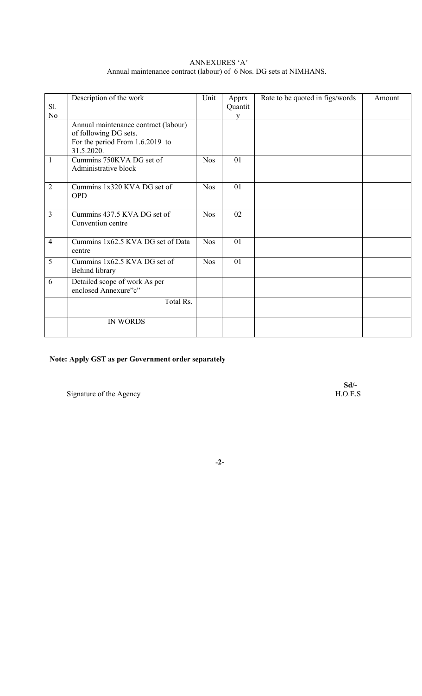| ANNEXURES 'A'                                                      |
|--------------------------------------------------------------------|
| Annual maintenance contract (labour) of 6 Nos. DG sets at NIMHANS. |

|                                   |                                                                                                                                                                                                                                                                                                       |                    |                             | Amount                          |
|-----------------------------------|-------------------------------------------------------------------------------------------------------------------------------------------------------------------------------------------------------------------------------------------------------------------------------------------------------|--------------------|-----------------------------|---------------------------------|
|                                   |                                                                                                                                                                                                                                                                                                       |                    |                             |                                 |
|                                   |                                                                                                                                                                                                                                                                                                       |                    |                             |                                 |
|                                   |                                                                                                                                                                                                                                                                                                       |                    |                             |                                 |
|                                   |                                                                                                                                                                                                                                                                                                       |                    |                             |                                 |
|                                   |                                                                                                                                                                                                                                                                                                       |                    |                             |                                 |
|                                   |                                                                                                                                                                                                                                                                                                       |                    |                             |                                 |
|                                   | <b>Nos</b>                                                                                                                                                                                                                                                                                            | 01                 |                             |                                 |
| Administrative block              |                                                                                                                                                                                                                                                                                                       |                    |                             |                                 |
|                                   |                                                                                                                                                                                                                                                                                                       |                    |                             |                                 |
| Cummins 1x320 KVA DG set of       | <b>Nos</b>                                                                                                                                                                                                                                                                                            | 01                 |                             |                                 |
| <b>OPD</b>                        |                                                                                                                                                                                                                                                                                                       |                    |                             |                                 |
|                                   |                                                                                                                                                                                                                                                                                                       |                    |                             |                                 |
| Cummins 437.5 KVA DG set of       | <b>Nos</b>                                                                                                                                                                                                                                                                                            | 02                 |                             |                                 |
|                                   |                                                                                                                                                                                                                                                                                                       |                    |                             |                                 |
|                                   |                                                                                                                                                                                                                                                                                                       |                    |                             |                                 |
| Cummins 1x62.5 KVA DG set of Data | <b>Nos</b>                                                                                                                                                                                                                                                                                            | 01                 |                             |                                 |
| centre                            |                                                                                                                                                                                                                                                                                                       |                    |                             |                                 |
|                                   |                                                                                                                                                                                                                                                                                                       |                    |                             |                                 |
|                                   |                                                                                                                                                                                                                                                                                                       |                    |                             |                                 |
|                                   |                                                                                                                                                                                                                                                                                                       |                    |                             |                                 |
|                                   |                                                                                                                                                                                                                                                                                                       |                    |                             |                                 |
|                                   |                                                                                                                                                                                                                                                                                                       |                    |                             |                                 |
| Total Rs.                         |                                                                                                                                                                                                                                                                                                       |                    |                             |                                 |
|                                   |                                                                                                                                                                                                                                                                                                       |                    |                             |                                 |
| <b>IN WORDS</b>                   |                                                                                                                                                                                                                                                                                                       |                    |                             |                                 |
|                                   |                                                                                                                                                                                                                                                                                                       |                    |                             |                                 |
|                                   | Description of the work<br>Annual maintenance contract (labour)<br>of following DG sets.<br>For the period From 1.6.2019 to<br>31.5.2020.<br>Cummins 750KVA DG set of<br>Convention centre<br>Cummins 1x62.5 KVA DG set of<br>Behind library<br>Detailed scope of work As per<br>enclosed Annexure"c" | Unit<br><b>Nos</b> | Apprx<br>Quantit<br>V<br>01 | Rate to be quoted in figs/words |

# **Note: Apply GST as per Government order separately**

Signature of the Agency

**Sd/-**

#### **-2-**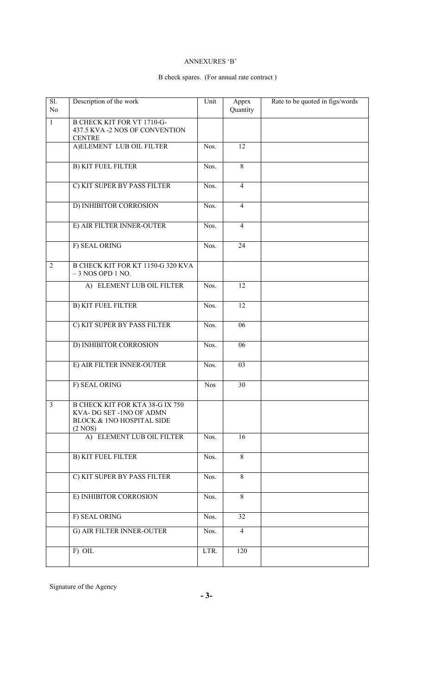#### ANNEXURES 'B'

## B check spares. (For annual rate contract )

| $\overline{SI}$ .<br>N <sub>o</sub> | Description of the work                                                                                   | Unit       | Apprx<br>Quantity | Rate to be quoted in figs/words |
|-------------------------------------|-----------------------------------------------------------------------------------------------------------|------------|-------------------|---------------------------------|
| $\mathbf{1}$                        | <b>B CHECK KIT FOR VT 1710-G-</b><br>437.5 KVA -2 NOS OF CONVENTION<br><b>CENTRE</b>                      |            |                   |                                 |
|                                     | A) ELEMENT LUB OIL FILTER                                                                                 | Nos.       | 12                |                                 |
|                                     | <b>B) KIT FUEL FILTER</b>                                                                                 | Nos.       | 8                 |                                 |
|                                     | C) KIT SUPER BY PASS FILTER                                                                               | Nos.       | $\overline{4}$    |                                 |
|                                     | D) INHIBITOR CORROSION                                                                                    | Nos.       | $\overline{4}$    |                                 |
|                                     | E) AIR FILTER INNER-OUTER                                                                                 | Nos.       | $\overline{4}$    |                                 |
|                                     | F) SEAL ORING                                                                                             | Nos.       | 24                |                                 |
| $\overline{2}$                      | B CHECK KIT FOR KT 1150-G 320 KVA<br>$-3$ NOS OPD 1 NO.                                                   |            |                   |                                 |
|                                     | A) ELEMENT LUB OIL FILTER                                                                                 | Nos.       | $\overline{12}$   |                                 |
|                                     | <b>B) KIT FUEL FILTER</b>                                                                                 | Nos.       | $\overline{12}$   |                                 |
|                                     | C) KIT SUPER BY PASS FILTER                                                                               | Nos.       | 06                |                                 |
|                                     | D) INHIBITOR CORROSION                                                                                    | Nos.       | 06                |                                 |
|                                     | E) AIR FILTER INNER-OUTER                                                                                 | Nos.       | 03                |                                 |
|                                     | F) SEAL ORING                                                                                             | <b>Nos</b> | $\overline{30}$   |                                 |
| $\overline{\mathbf{3}}$             | <b>B CHECK KIT FOR KTA 38-G IX 750</b><br>KVA-DG SET -1NO OF ADMN<br>BLOCK.& INO HOSPITAL SIDE<br>(2 NOS) |            |                   |                                 |
|                                     | A) ELEMENT LUB OIL FILTER                                                                                 | Nos.       | $\overline{16}$   |                                 |
|                                     | <b>B) KIT FUEL FILTER</b>                                                                                 | Nos.       | 8                 |                                 |
|                                     | C) KIT SUPER BY PASS FILTER                                                                               | Nos.       | 8                 |                                 |
|                                     | E) INHIBITOR CORROSION                                                                                    | Nos.       | 8                 |                                 |
|                                     | F) SEAL ORING                                                                                             | Nos.       | 32                |                                 |
|                                     | G) AIR FILTER INNER-OUTER                                                                                 | Nos.       | $\overline{4}$    |                                 |
|                                     | $F)$ OIL                                                                                                  | LTR.       | 120               |                                 |

Signature of the Agency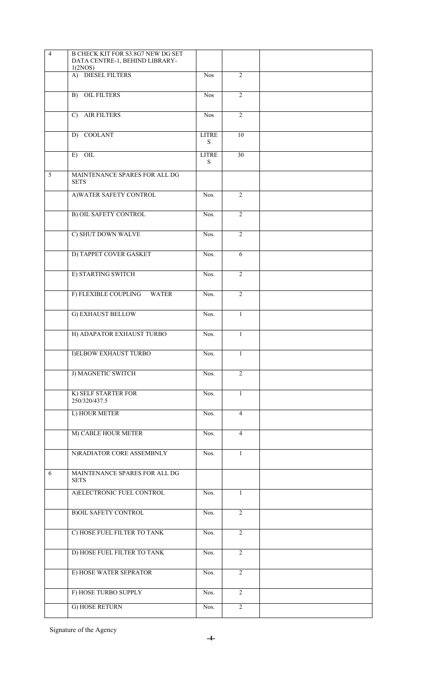| $\overline{4}$ | B CHECK KIT FOR S3.8G7 NEW DG SET<br>DATA CENTRE-1, BEHIND LIBRARY-<br>1(2NOS) |                           |                |  |
|----------------|--------------------------------------------------------------------------------|---------------------------|----------------|--|
|                | A) DIESEL FILTERS                                                              | <b>Nos</b>                | $\overline{2}$ |  |
|                | <b>B)</b> OIL FILTERS                                                          | Nos <sup></sup>           | $\overline{2}$ |  |
|                | <b>AIR FILTERS</b><br>$\mathcal{C}$                                            | <b>Nos</b>                | $\overline{2}$ |  |
|                | D) COOLANT                                                                     | <b>LITRE</b><br>${\bf S}$ | 10             |  |
|                | $E)$ OIL                                                                       | <b>LITRE</b><br>S         | 30             |  |
| 5              | MAINTENANCE SPARES FOR ALL DG<br><b>SETS</b>                                   |                           |                |  |
|                | A) WATER SAFETY CONTROL                                                        | Nos.                      | $\overline{c}$ |  |
|                | <b>B) OIL SAFETY CONTROL</b>                                                   | Nos.                      | $\overline{2}$ |  |
|                | C) SHUT DOWN WALVE                                                             | Nos.                      | $\overline{2}$ |  |
|                | D) TAPPET COVER GASKET                                                         | Nos.                      | 6              |  |
|                | E) STARTING SWITCH                                                             | Nos.                      | $\overline{2}$ |  |
|                | F) FLEXIBLE COUPLING<br><b>WATER</b>                                           | Nos.                      | $\overline{2}$ |  |
|                | G) EXHAUST BELLOW                                                              | Nos.                      | $\mathbf{1}$   |  |
|                | H) ADAPATOR EXHAUST TURBO                                                      | Nos.                      | $\mathbf{1}$   |  |
|                | <b>I)ELBOW EXHAUST TURBO</b>                                                   | Nos.                      | $\mathbf{1}$   |  |
|                | J) MAGNETIC SWITCH                                                             | Nos.                      | $\overline{2}$ |  |
|                | K) SELF STARTER FOR<br>250/320/437.5                                           | Nos.                      | $\mathbf{1}$   |  |
|                | L) HOUR METER                                                                  | Nos.                      | $\overline{4}$ |  |
|                | M) CABLE HOUR METER                                                            | Nos.                      | $\overline{4}$ |  |
|                | N)RADIATOR CORE ASSEMBNLY                                                      | Nos.                      | $\mathbf{1}$   |  |
| 6              | MAINTENANCE SPARES FOR ALL DG<br><b>SETS</b>                                   |                           |                |  |
|                | A)ELECTRONIC FUEL CONTROL                                                      | Nos.                      | 1              |  |
|                | <b>B)OIL SAFETY CONTROL</b>                                                    | Nos.                      | $\overline{2}$ |  |
|                | C) HOSE FUEL FILTER TO TANK                                                    | Nos.                      | $\overline{2}$ |  |
|                | D) HOSE FUEL FILTER TO TANK                                                    | Nos.                      | $\overline{2}$ |  |
|                | E) HOSE WATER SEPRATOR                                                         | Nos.                      | $\overline{2}$ |  |
|                | F) HOSE TURBO SUPPLY                                                           | Nos.                      | $\overline{2}$ |  |
|                | G) HOSE RETURN                                                                 | Nos.                      | $\overline{2}$ |  |

Signature of the Agency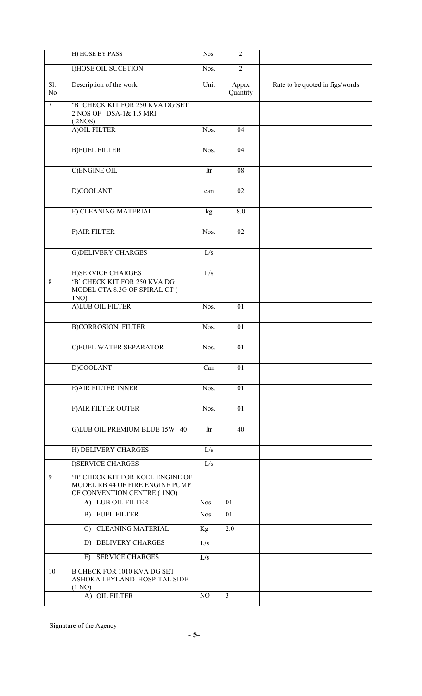|                       | H) HOSE BY PASS                                                                                   | Nos.       | $\overline{2}$    |                                 |
|-----------------------|---------------------------------------------------------------------------------------------------|------------|-------------------|---------------------------------|
|                       | <b>I)HOSE OIL SUCETION</b>                                                                        | Nos.       | $\overline{2}$    |                                 |
| Sl.<br>N <sub>0</sub> | Description of the work                                                                           | Unit       | Apprx<br>Quantity | Rate to be quoted in figs/words |
| $\overline{7}$        | 'B' CHECK KIT FOR 250 KVA DG SET<br>2 NOS OF DSA-1& 1.5 MRI<br>(2NOS)                             |            |                   |                                 |
|                       | A) OIL FILTER                                                                                     | Nos.       | 04                |                                 |
|                       | <b>B)FUEL FILTER</b>                                                                              | Nos.       | $\overline{04}$   |                                 |
|                       | <b>C)ENGINE OIL</b>                                                                               | ltr        | $\overline{08}$   |                                 |
|                       | D)COOLANT                                                                                         | can        | 02                |                                 |
|                       | E) CLEANING MATERIAL                                                                              | kg         | 8.0               |                                 |
|                       | <b>F)AIR FILTER</b>                                                                               | Nos.       | 02                |                                 |
|                       | <b>G)DELIVERY CHARGES</b>                                                                         | L/s        |                   |                                 |
|                       | H)SERVICE CHARGES                                                                                 | L/s        |                   |                                 |
| $\overline{8}$        | 'B' CHECK KIT FOR 250 KVA DG                                                                      |            |                   |                                 |
|                       | MODEL CTA 8.3G OF SPIRAL CT (<br>1NO)                                                             |            |                   |                                 |
|                       | A)LUB OIL FILTER                                                                                  | Nos.       | 01                |                                 |
|                       | <b>B)CORROSION FILTER</b>                                                                         | Nos.       | 01                |                                 |
|                       | C)FUEL WATER SEPARATOR                                                                            | Nos.       | 01                |                                 |
|                       | D)COOLANT                                                                                         | Can        | 01                |                                 |
|                       | <b>E) AIR FILTER INNER</b>                                                                        | Nos.       | 01                |                                 |
|                       | F) AIR FILTER OUTER                                                                               | Nos.       | 01                |                                 |
|                       | G)LUB OIL PREMIUM BLUE 15W 40                                                                     | ltr        | 40                |                                 |
|                       | H) DELIVERY CHARGES                                                                               | L/s        |                   |                                 |
|                       | <b>I)SERVICE CHARGES</b>                                                                          | L/s        |                   |                                 |
| $\overline{9}$        | 'B' CHECK KIT FOR KOEL ENGINE OF<br>MODEL RB 44 OF FIRE ENGINE PUMP<br>OF CONVENTION CENTRE.(1NO) |            |                   |                                 |
|                       | A) LUB OIL FILTER                                                                                 | <b>Nos</b> | 01                |                                 |
|                       | <b>B) FUEL FILTER</b>                                                                             | <b>Nos</b> | 01                |                                 |
|                       | C) CLEANING MATERIAL                                                                              | Kg         | 2.0               |                                 |
|                       | D) DELIVERY CHARGES                                                                               | L/s        |                   |                                 |
|                       | <b>SERVICE CHARGES</b><br>$E$ )                                                                   | L/s        |                   |                                 |
| 10                    | <b>B CHECK FOR 1010 KVA DG SET</b><br>ASHOKA LEYLAND HOSPITAL SIDE<br>(1 N <sub>O</sub> )         |            |                   |                                 |
|                       | A) OIL FILTER                                                                                     | NO         | $\overline{3}$    |                                 |

Signature of the Agency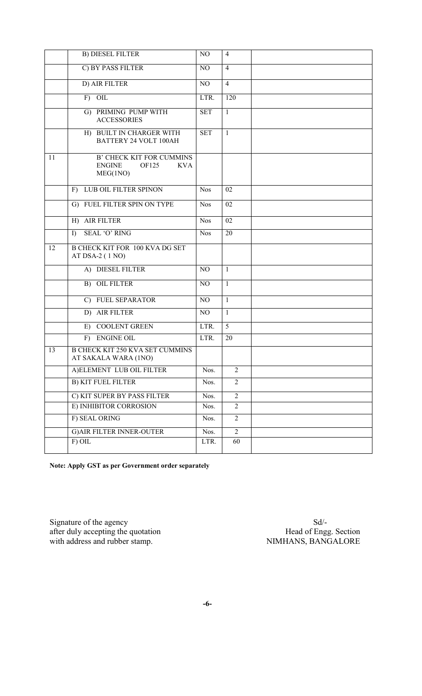|    | <b>B) DIESEL FILTER</b>                                                             | NO         | $\overline{4}$ |  |
|----|-------------------------------------------------------------------------------------|------------|----------------|--|
|    | C) BY PASS FILTER                                                                   | NO         | $\overline{4}$ |  |
|    | D) AIR FILTER                                                                       | NO         | $\overline{4}$ |  |
|    | $F)$ OIL                                                                            | LTR.       | 120            |  |
|    | G) PRIMING PUMP WITH<br><b>ACCESSORIES</b>                                          | <b>SET</b> | $\mathbf{1}$   |  |
|    | H) BUILT IN CHARGER WITH<br>BATTERY 24 VOLT 100AH                                   | <b>SET</b> | $\mathbf{1}$   |  |
| 11 | <b>B' CHECK KIT FOR CUMMINS</b><br><b>ENGINE</b><br>OF125<br><b>KVA</b><br>MEG(1NO) |            |                |  |
|    | F) LUB OIL FILTER SPINON                                                            | <b>Nos</b> | 02             |  |
|    | G) FUEL FILTER SPIN ON TYPE                                                         | <b>Nos</b> | 02             |  |
|    | H) AIR FILTER                                                                       | <b>Nos</b> | 02             |  |
|    | <b>SEAL 'O' RING</b><br>$\Gamma$                                                    | <b>Nos</b> | 20             |  |
| 12 | <b>B CHECK KIT FOR 100 KVA DG SET</b><br>AT DSA-2 (1 NO)                            |            |                |  |
|    | A) DIESEL FILTER                                                                    | NO         | $\mathbf{1}$   |  |
|    | B) OIL FILTER                                                                       | NO         | $\mathbf{1}$   |  |
|    | C) FUEL SEPARATOR                                                                   | NO         | $\overline{1}$ |  |
|    | D) AIR FILTER                                                                       | NO         | $\mathbf{1}$   |  |
|    | E) COOLENT GREEN                                                                    | LTR.       | 5              |  |
|    | <b>ENGINE OIL</b><br>$F$ )                                                          | LTR.       | 20             |  |
| 13 | <b>B CHECK KIT 250 KVA SET CUMMINS</b><br>AT SAKALA WARA (1NO)                      |            |                |  |
|    | A) ELEMENT LUB OIL FILTER                                                           | Nos.       | $\overline{2}$ |  |
|    | <b>B) KIT FUEL FILTER</b>                                                           | Nos.       | $\overline{2}$ |  |
|    | C) KIT SUPER BY PASS FILTER                                                         | Nos.       | $\overline{2}$ |  |
|    | E) INHIBITOR CORROSION                                                              | Nos.       | $\overline{2}$ |  |
|    | F) SEAL ORING                                                                       | Nos.       | $\overline{2}$ |  |
|    | <b>G) AIR FILTER INNER-OUTER</b>                                                    | Nos.       | $\overline{2}$ |  |
|    | F) OIL                                                                              | LTR.       | 60             |  |

**Note: Apply GST as per Government order separately**

Signature of the agency Sd/after duly accepting the quotation **Head of Engg.** Section with address and rubber stamp. NIMHANS, BANGALORE